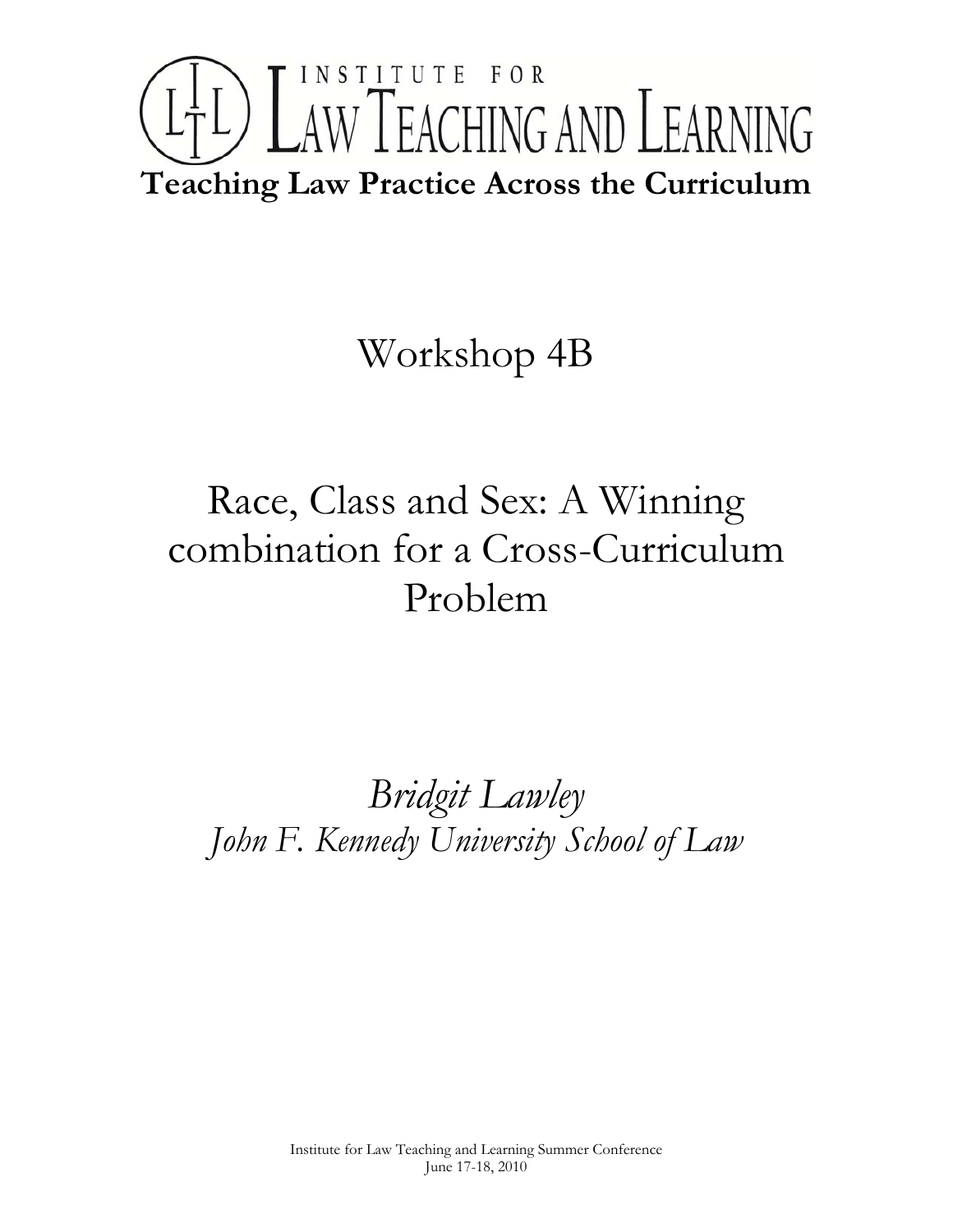# INSTITUTE FOR LTL) LAW TEACHING AND LEARNING **Teaching Law Practice Across the Curriculum**

## Workshop 4B

# Race, Class and Sex: A Winning combination for a Cross-Curriculum Problem

### *Bridgit Lawley John F. Kennedy University School of Law*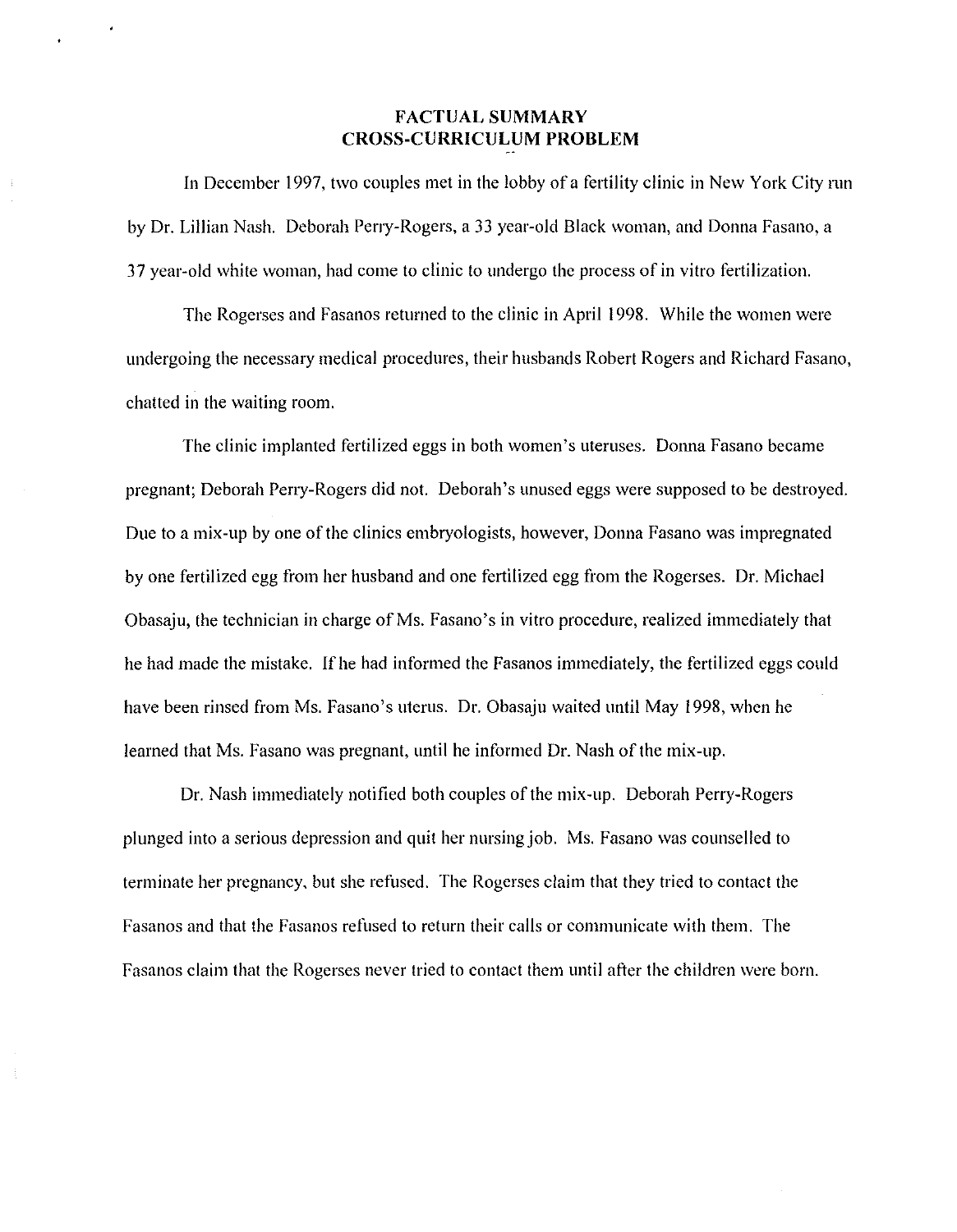#### **FACTUAL SUMMARY CROSS-CURRICULUM PROBLEM**

In December 1997, two couples met in the lobby of a fertility clinic in New York City run by Dr. Lillian Nash. Deborah Perry-Rogers, a 33 year-old Black woman, and Donna Fasano, a 37 year-old white woman, had come to clinic to undergo the process of in vitro fertilization.

The Rogerses and Fasanos returned to the clinic in April 1998. While the women were undergoing the necessary medical procedures, their husbands Robert Rogers and Richard Fasano, chatted in the waiting room.

The clinic implanted fertilized eggs in both women's uteruses. Donna Fasano became pregnant; Deborah Perry-Rogers did not. Deborah's unused eggs were supposed to be destroyed. Due to a mix-up by one of the clinics embryologists, however, Donna Fasano was impregnated by one fertilized egg from her husband and one fertilized egg from the Rogerses. Dr. Michael Obasaju, the technician in charge of Ms. Fasano's in vitro procedure, realized immediately that he had made the mistake. If he had informed the Fasanos immediately, the fertilized eggs could have been rinsed from Ms. Fasano's uterus. Dr. Obasaju waited until May 1998, when he learned that Ms. Fasano was pregnant, until he informed Dr. Nash of the mix-up.

Dr. Nash immediately notified both couples of the mix-up. Deborah Perry-Rogers plunged into a serious depression and quit her nursing job. Ms. Fasano was counselled to terminate her pregnancy, but she refused. The Rogerses claim that they tried to contact the Fasanos and that the Fasanos refused to return their calls or communicate with them. The Fasanos claim that the Rogerses never tried to contact them until after the children were born.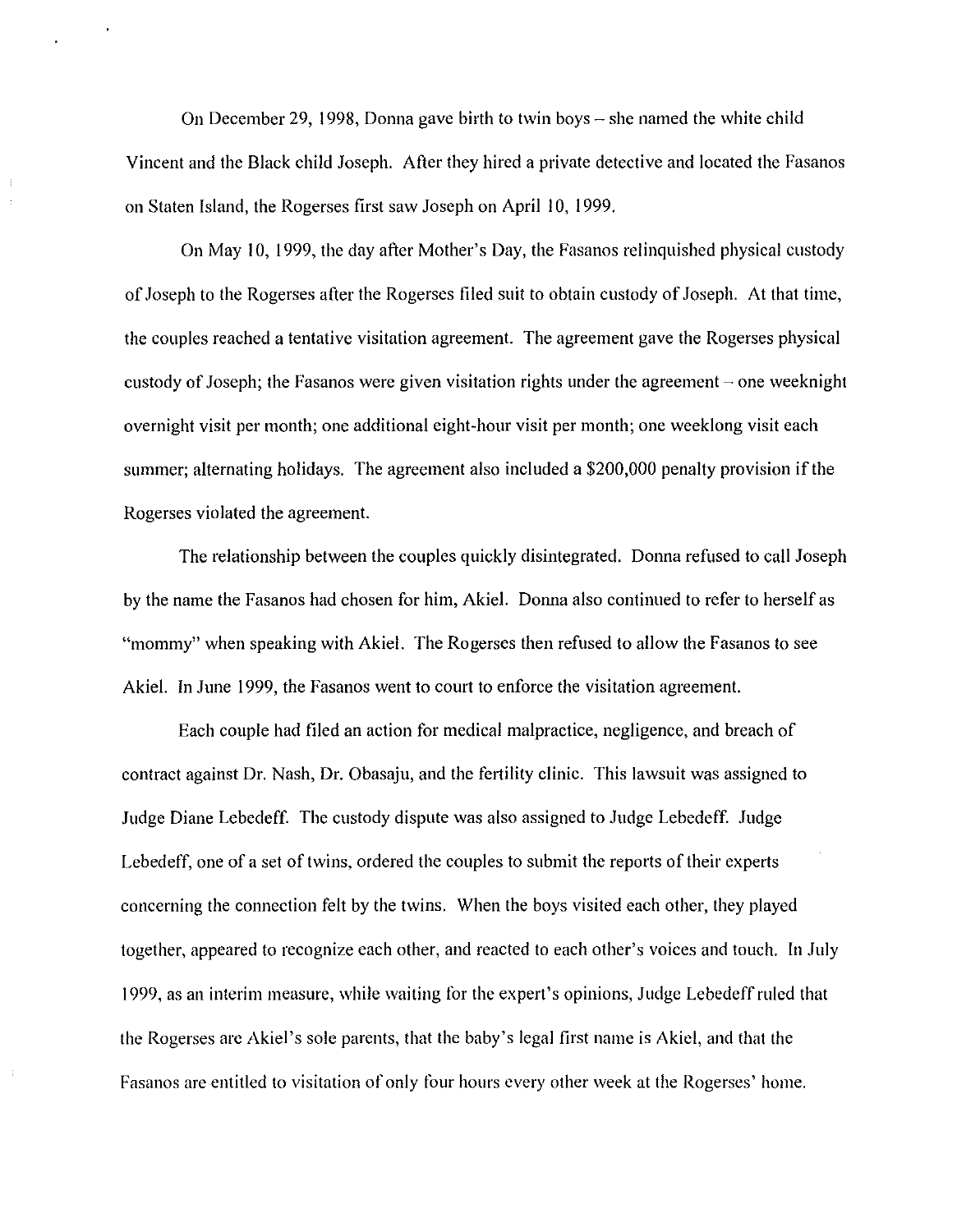On December 29, 1998, Donna gave birth to twin boys  $-$  she named the white child Vincent and the Black child Joseph. After they hired a private detective and located the Fasanos on Staten Island, the Rogerses first saw Joseph on April 10, 1999.

On May 10, 1999, the day after Mother's Day, the Fasanos relinquished physical custody of Joseph to the Rogerses after the Rogerses filed suit to obtain custody of Joseph. At that time, the couples reached a tentative visitation agreement. The agreement gave the Rogerses physical custody of Joseph; the Fasanos were given visitation rights under the agreement  $\sim$  one weeknight overnight visit per month; one additional eight-hour visit per month; one weeklong visit each summer; alternating holidays. The agreement also included a \$200,000 penalty provision if the Rogerses violated the agreement.

The relationship between the couples quickly disintegrated. Donna refused to call Joseph by the name the Fasanos had chosen for him, Akiel. Donna also continued to refer to herself as "mommy" when speaking with Akiel. The Rogerses then refused to allow the Fasanos to see Akiel. In June 1999, the Fasanos went to court to enforce the visitation agreement.

Each couple had filed an action for medical malpractice, negligence, and breach of contract against Dr. Nash, Dr. Obasaju, and the fertility clinic. This lawsuit was assigned to Judge Diane Lebedeff. The custody dispute was also assigned to Judge Lebedeff. Judge Lebedeff, one of a set of twins, ordered the couples to submit the reports of their experts concerning the connection felt by the twins. When the boys visited each other, they played together, appeared to recognize each other, and reacted to each other's voices and touch. In July 1999, as an interim measure, while waiting for the expert's opinions, Judge Lebedeff ruled that the Rogerses are Akiel's sole parents, that the baby's legal first name is Akiel, and that the Fasanos are entitled to visitation of only four hours every other week at the Rogerses' home.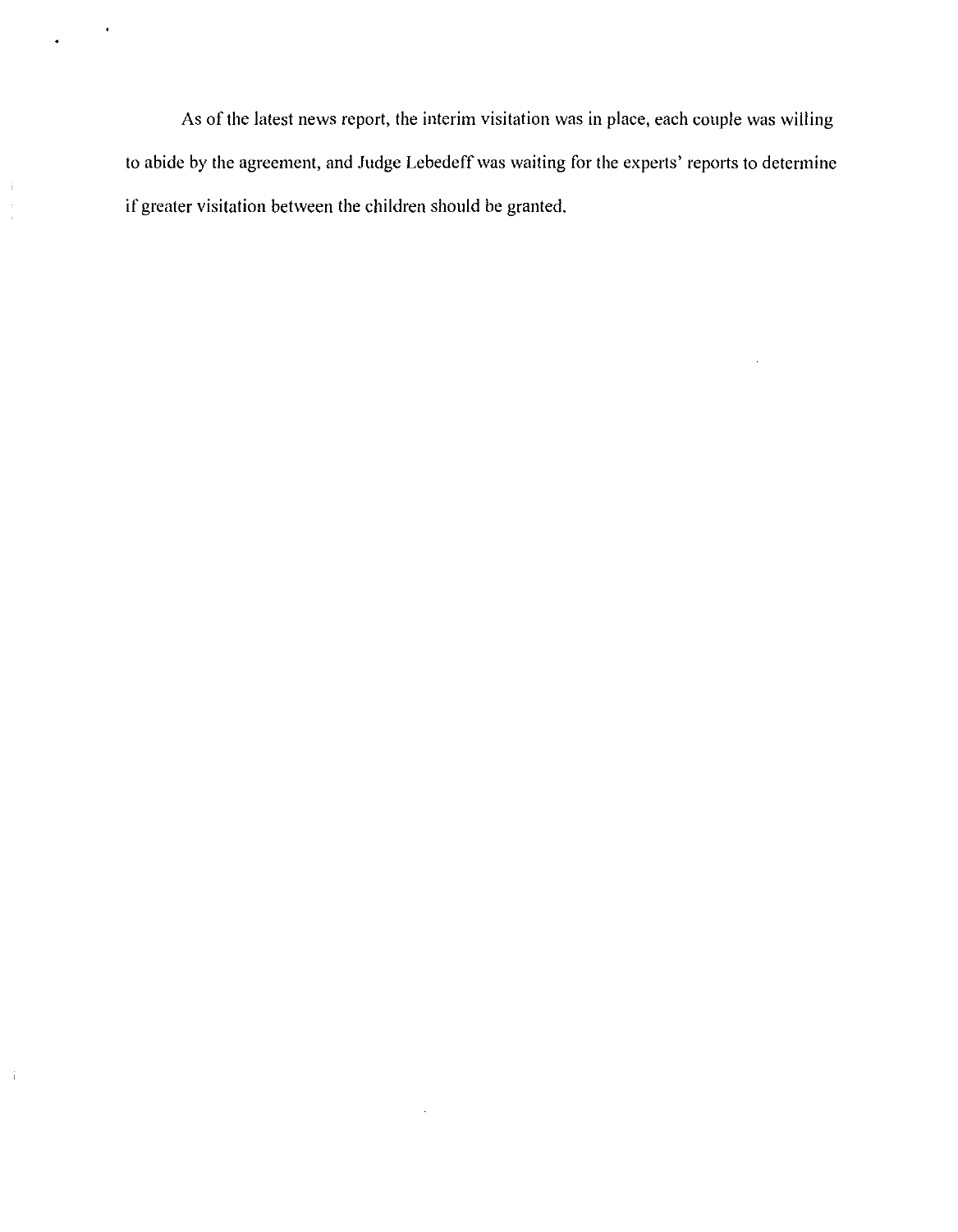As of the latest news report, the interim visitation was in place, each couple was willing to abide by the agreement, and Judge Lebedeff was waiting for the experts' reports to determine if greater visitation between the children should be granted.

 $\bar{z}$ 

 $\bar{\phantom{a}}$ 

 $\frac{1}{3}$  $\frac{1}{4}$ 

 $\mathcal{A}^{\mathcal{A}}$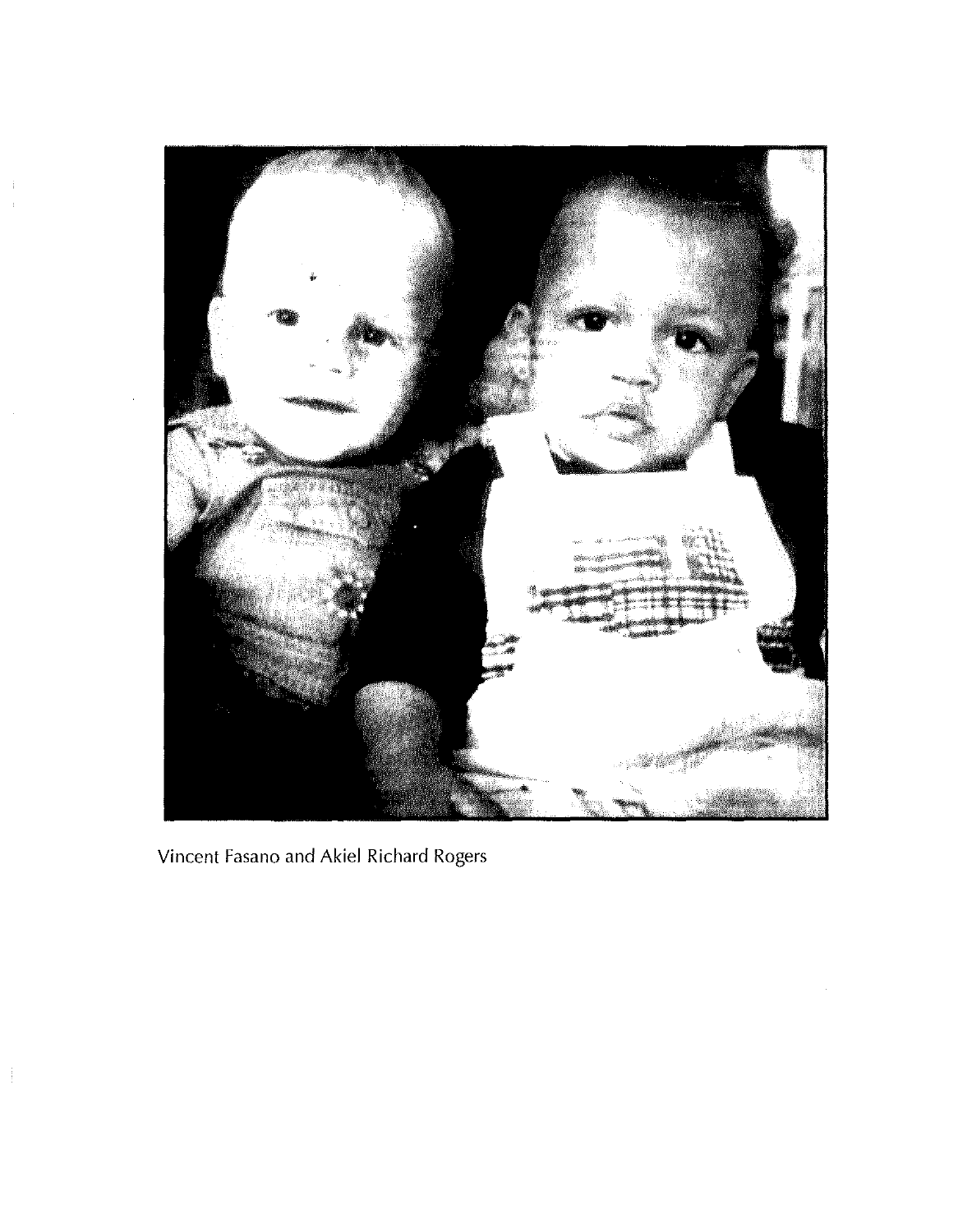

Vincent Fasano and Akiel Richard Rogers

 $\frac{1}{2}$ 

 $\frac{1}{2}$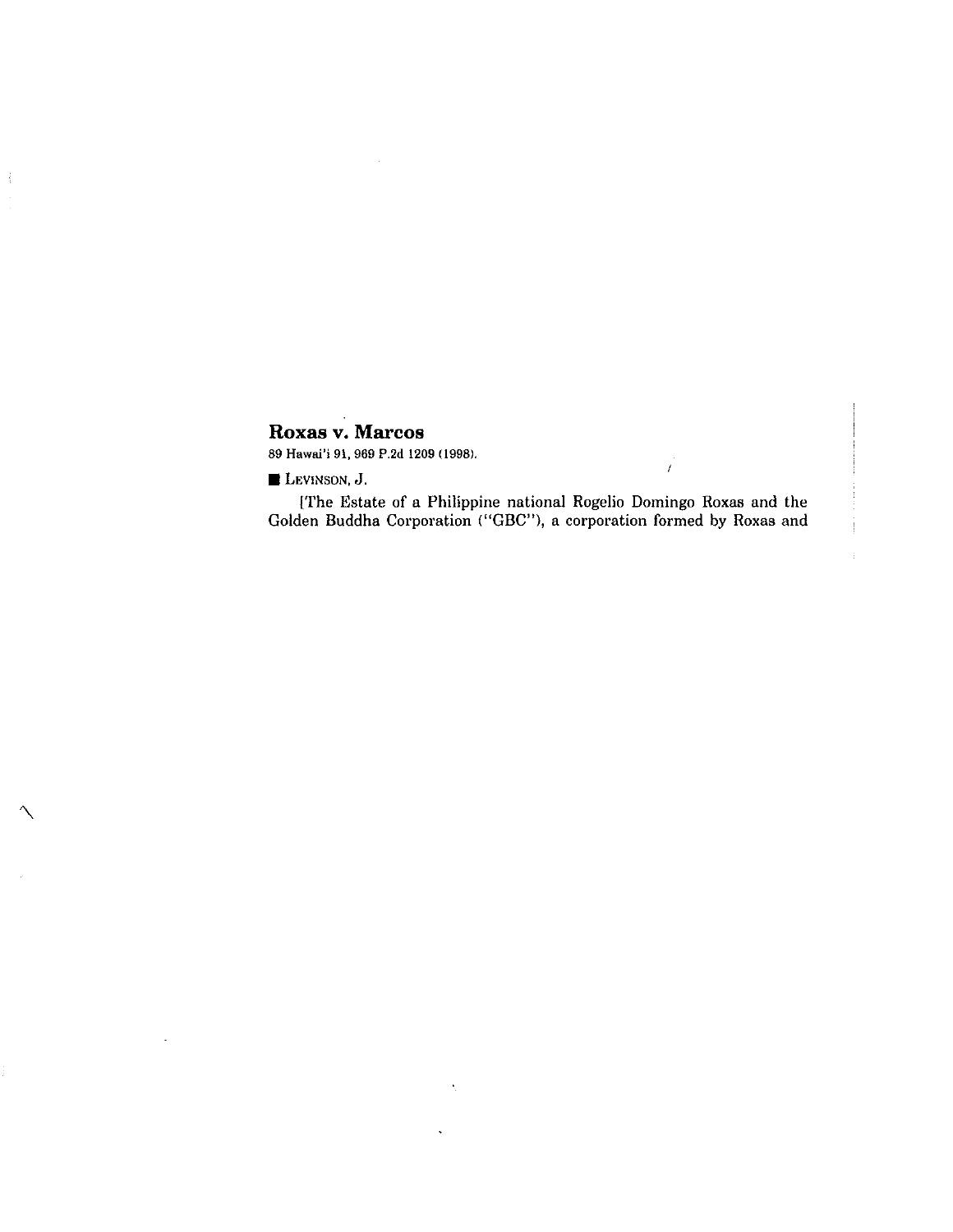#### **Roxas v. Marcos**

89 Hawai'i 91, 969 P.2d 1209(1998).

**LEVINSON**, **J**.

 $\frac{1}{2}$ 

[The Estate of a Philippine national Rogelio Domingo Roxas and the Golden Buddha Corporation ("GBC"), a corporation formed by Roxas and

 $\mathcal{L}$ 

Î.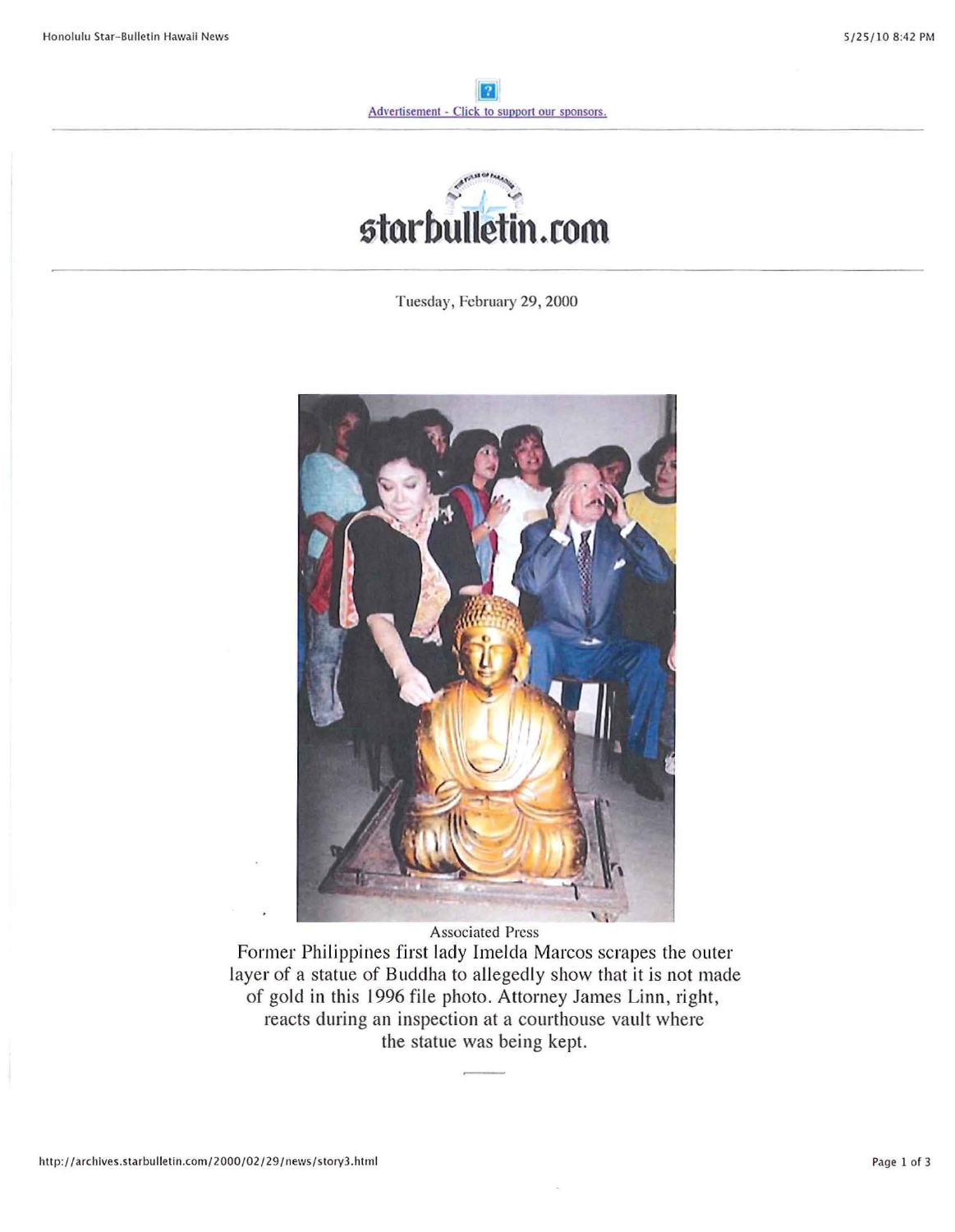

Tuesday, February 29, 2000



Associated Press

Former Philippines first lady Imelda Marcos scrapes the outer layer of a statue of Buddha to allegedly show that it is not made of gold in this 1996 file photo. Attorney James Linn, right, reacts during an inspection at a courthouse vault where the statue was being kept.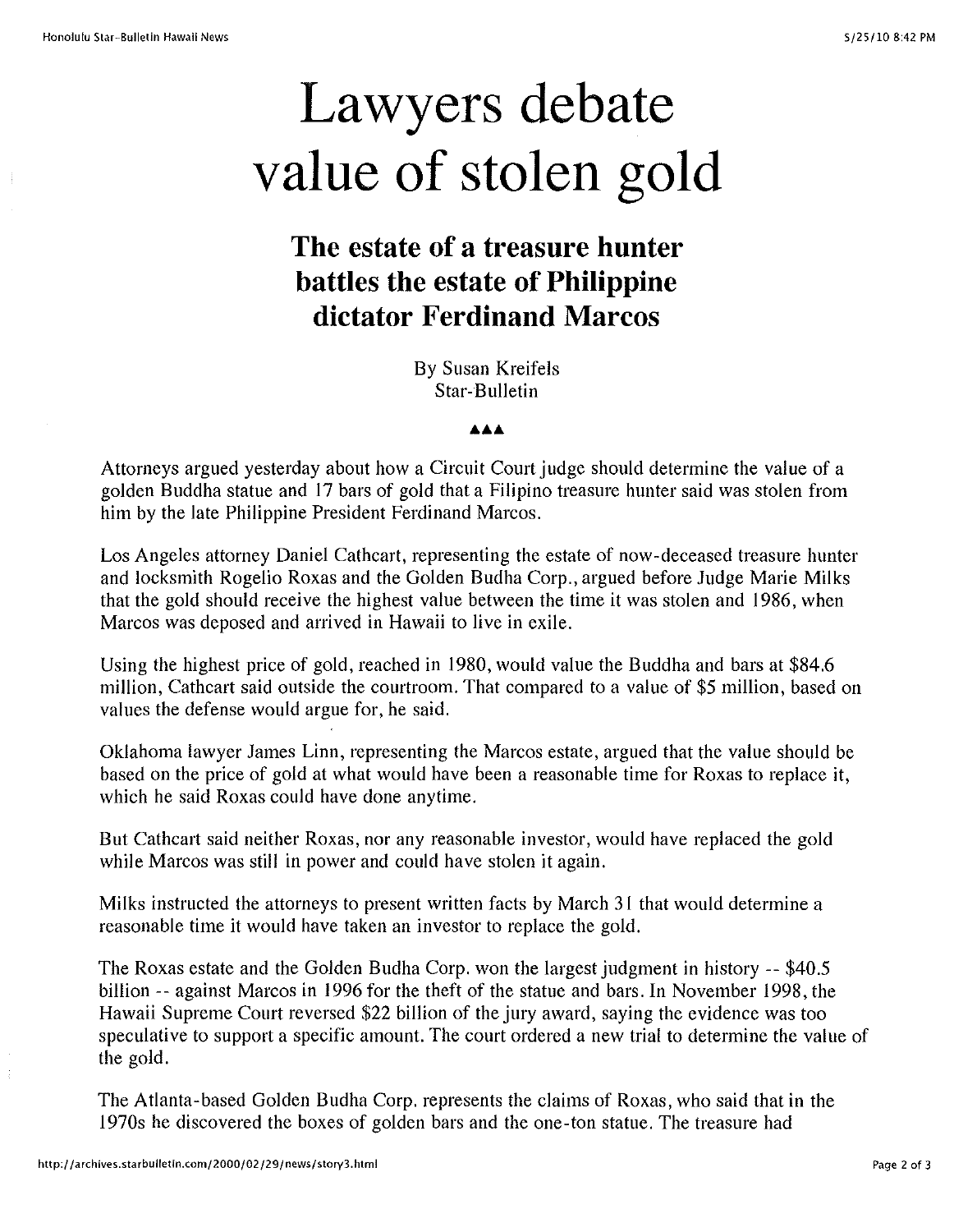# **Lawyers debate value of stolen gold**

### **The estate of a treasure hunter battles the estate of Philippine dictator Ferdinand Marcos**

By Susan Kreifels Star-Bulletin

**AAA**

Attorneys argued yesterday about how a Circuit Court judge should determine the value of a golden Buddha statue and 17 bars of gold that a Filipino treasure hunter said was stolen from him by the late Philippine President Ferdinand Marcos.

Los Angeles attorney Daniel Cathcart, representing the estate of now-deceased treasure hunter and locksmith Rogelio Roxas and the Golden Budha Corp., argued before Judge Marie Milks that the gold should receive the highest value between the time it was stolen and 1986, when Marcos was deposed and arrived in Hawaii to live in exile.

Using the highest price of gold, reached in 1980, would value the Buddha and bars at \$84.6 million, Cathcart said outside the courtroom. That compared to a value of \$5 million, based on values the defense would argue for, he said.

Oklahoma lawyer James Linn, representing the Marcos estate, argued that the value should be based on the price of gold at what would have been a reasonable time for Roxas to replace it, which he said Roxas could have done anytime.

But Cathcart said neither Roxas, nor any reasonable investor, would have replaced the gold while Marcos was still in power and could have stolen it again.

Milks instructed the attorneys to present written facts by March 31 that would determine a reasonable time it would have taken an investor to replace the gold.

The Roxas estate and the Golden Budha Corp. won the largest judgment in history -- \$40.5 billion -- against Marcos in 1996 for the theft of the statue and bars. In November 1998, the Hawaii Supreme Court reversed \$22 billion of the jury award, saying the evidence was too speculative to support a specific amount. The court ordered a new trial to determine the value of the gold.

The Atlanta-based Golden Budha Corp. represents the claims of Roxas, who said that in the 1970s he discovered the boxes of golden bars and the one-ton statue. The treasure had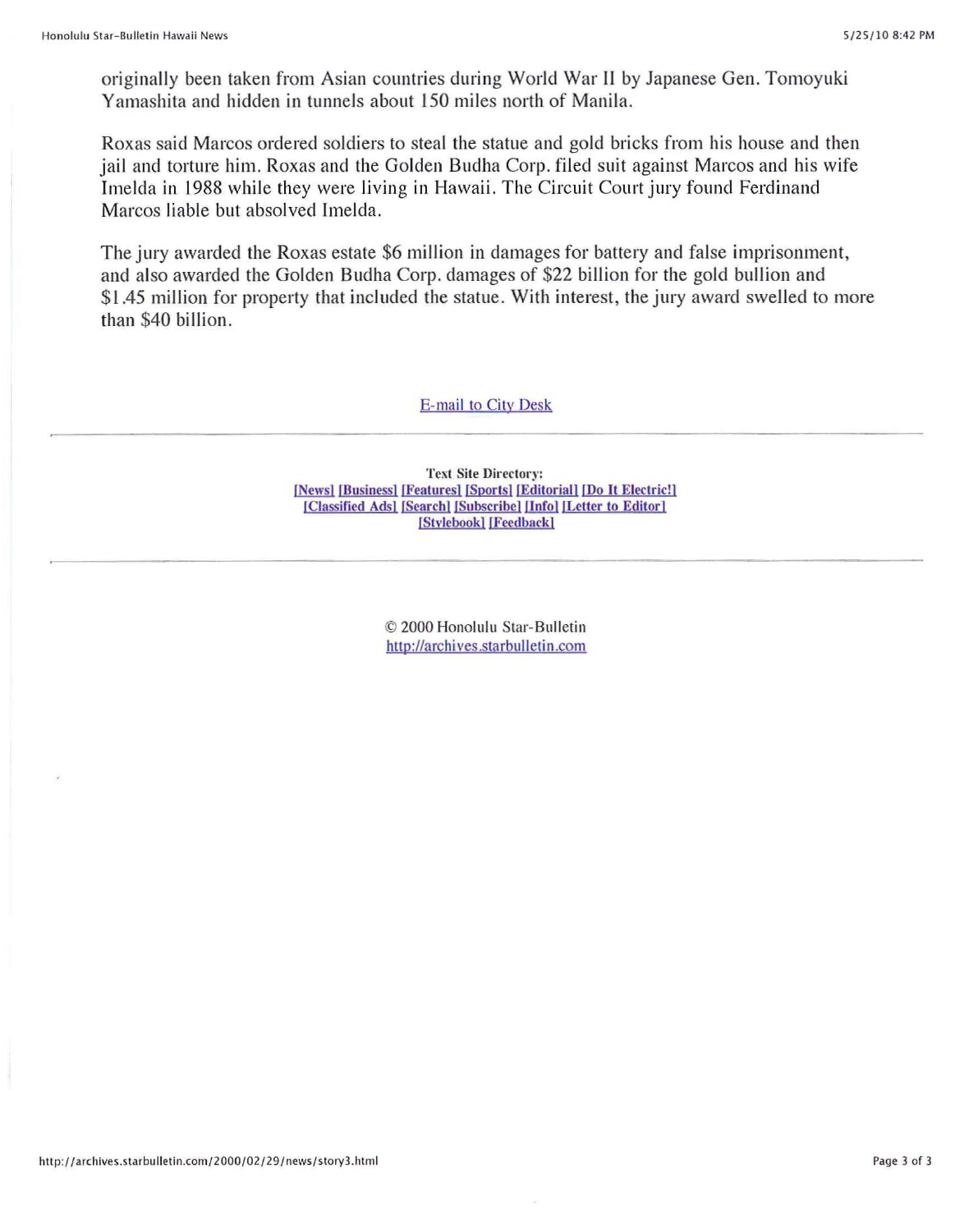originally been taken from Asian countries during World War II by Japanese Gen. Tomoyuki Yamashita and hidden in tunnels about 150 miles north of Manila.

Roxas said Marcos ordered soldiers to steal the statue and gold bricks from his house and then jail and torture him. Roxas and the Golden Budha Corp. filed suit against Marcos and his wife Imelda in 1988 while they were living in Hawaii. The Circuit Court jury found Ferdinand Marcos liable but absolved Imelda.

The jury awarded the Roxas estate \$6 million in damages for battery and false imprisonment, and also awarded the Golden Budha Corp. damages of \$22 billion for the gold bullion and \$1.45 million for property that included the statue. With interest, the jury award swelled to more than \$40 billion.

#### E-mail to City Desk

**Text Site Directory:**  $[News] [Business] [Features] [Sports] [Editorial] [Do It Electric!]$ [Classified Ads] [Search] [Subscribe] [Info] [Letter to Editor] [Stylebook] [Feedback]

> © 2000 Honolulu Star-Bulletin http://archives.starbulletin.com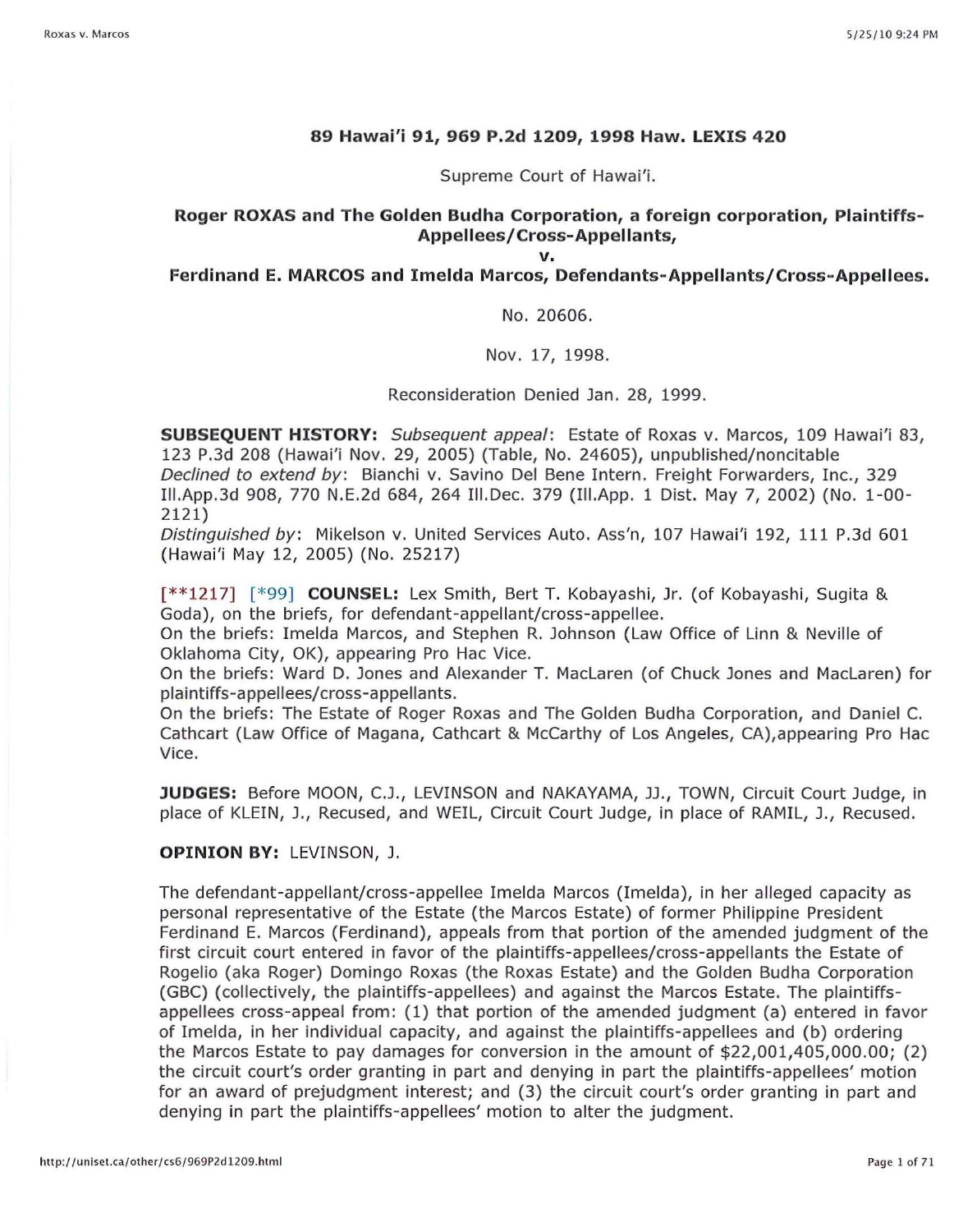#### **89 Hawai'i 91, 969 P.2d 1209, 1998 Haw. LEXIS 420**

Supreme Court of Hawai'i.

#### **Roger ROXAS and The Golden Budha Corporation, a foreign corporation, Plaintiffs-Appellees/Cross-Appellants,**

**v.**

#### **Ferdinand E. MARCOS and Imelda Marcos, Defendants-Appellants/Cross-Appellees.**

No. 20606.

Nov. 17, 1998.

Reconsideration Denied Jan. 28, 1999.

**SUBSEQUENT HISTORY:** Subsequent appeal: Estate of Roxas v. Marcos, 109 Hawai'i 83, 123 P.3d 208 (Hawai'i Nov. 29, 2005) (Table, No. 24605), unpublished/noncitable Declined to extend by: Bianchi v. Savino Del Bene Intern. Freight Forwarders, Inc., 329 I1I.App.3d 908, 770 N.E.2d 684, 264 III. Dec. 379 (III.App. 1 Dist. May 7, 2002) (No. 1-00- 2121)

Distinguished by: Mikelson v. United Services Auto. Ass'n, 107 Hawai'i 192, 111 P.3d 601 (Hawai'i May 12, 2005) (No. 25217)

[\*\*1217] [\*99] **COUNSEL:** Lex Smith, Bert T. Kobayashi, Jr. (of Kobayashi, Sugita & Goda), on the briefs, for defendant-appellant/cross-appellee.

On the briefs: Imelda Marcos, and Stephen R. Johnson (Law Office of Linn & Neville of Oklahoma City, OK), appearing Pro Hac Vice.

On the briefs: Ward D. Jones and Alexander T. MacLaren (of Chuck Jones and MacLaren) for plaintiffs-appellees/cross-appellants.

On the briefs: The Estate of Roger Roxas and The Golden Budha Corporation, and Daniel C. Cathcart (Law Office of Magana, Cathcart & McCarthy of Los Angeles, CA),appearing Pro Hac Vice.

**JUDGES:** Before MOON, c.J., LEVINSON and NAKAYAMA, JJ., TOWN, Circuit Court Judge, in place of KLEIN, J., Recused, and WElL, Circuit Court Judge, in place of RAMIL, J., Recused.

#### **OPINION BY:** LEVINSON, J.

The defendant-appellant/cross-appellee Imelda Marcos (Imelda), in her alleged capacity as personal representative of the Estate (the Marcos Estate) of former Philippine President Ferdinand E. Marcos (Ferdinand), appeals from that portion of the amended judgment of the first circuit court entered in favor of the plaintiffs-appellees/cross-appellants the Estate of Rogelio (aka Roger) Domingo Roxas (the Roxas Estate) and the Golden Budha Corporation (GBC) (collectively, the plaintiffs-appellees) and against the Marcos Estate. The plaintiffsappellees cross-appeal from: (1) that portion of the amended judgment (a) entered in favor of Imelda, in her individual capacity, and against the plaintiffs-appellees and (b) ordering the Marcos Estate to pay damages for conversion in the amount of \$22,001,405,000.00; (2) the circuit court's order granting in part and denying in part the plaintiffs-appellees' motion for an award of prejudgment interest; and (3) the circuit court's order granting in part and denying in part the plaintiffs-appellees' motion to alter the judgment.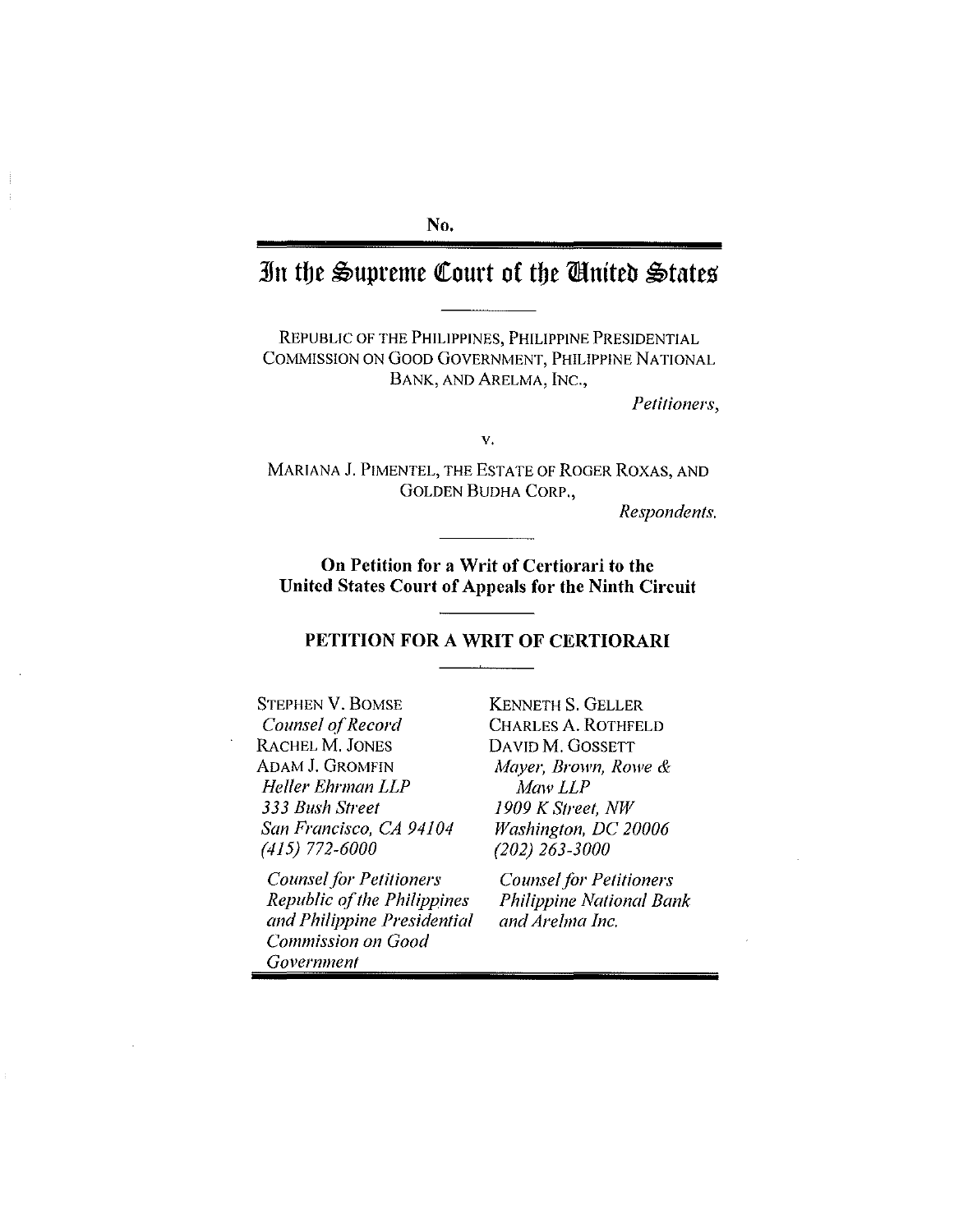#### **No.**

### **3Jn tbe** ~upreme **Qtourt of tbe mtnlteb** ~tates'

REPUBLIC OF THE PHILIPPINES, PHILIPPINE PRESIDENTIAL COMMISSION ON GOOD GOVERNMENT, PHILIPPINE NATIONAL BANK, AND ARELMA, INC.,

*Petitioners,*

V.

MARIANA J. PIMENTEL, THE ESTATE OF ROGER ROXAS, AND GOLDEN BUDHA CORP.,

Respondents.

**On Petition for a Writ of Certiorari to the United States Court of Appeals for the Ninth Circuit**

#### **PETITION FOR A WRIT OF CERTIORARI**

STEPHEN V. BOMSE *Counsel 0/Record* RACHEL M. JONES ADAM J. GROMFIN *Heller Ehrman LLP 333 Bush Street San Francisco, CA 94104 (415) 772-6000*

*Counsel/or Petitioners Republic 0/the Philippines and Philippine Presidential Commission on Good Government*

KENNETH S. GELLER CHARLES A. ROTHFELD DAVID M. GOSSETT *Mayer, Brown, Rowe* & *MawLLP 1909 K Street, NW Washington, DC 20006 (202) 263-3000*

*Counsel for Petitioners Philippine National Bank and Arelma Inc.*